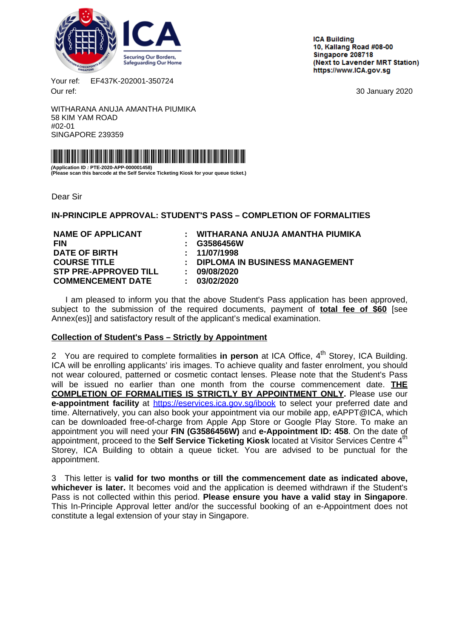<span id="page-0-0"></span>

**ICA Building** 10. Kallang Road #08-00 Singapore 208718 (Next to Lavender MRT Station) https://www.ICA.gov.sg

Your ref: EF437K-202001-350724 Our ref: 30 January 2020

WITHARANA ANUJA AMANTHA PIUMIKA 58 KIM YAM ROAD #02-01 SINGAPORE 239359



**(Application ID : PTE-2020-APP-000001458) (Please scan this barcode at the Self Service Ticketing Kiosk for your queue ticket.)**

Dear Sir

**IN-PRINCIPLE APPROVAL: STUDENT'S PASS – COMPLETION OF FORMALITIES**

**FIN : G3586456W DATE OF BIRTH : 11/07/1998 STP PRE-APPROVED TILL : 09/08/2020 COMMENCEMENT DATE : 03/02/2020**

**NAME OF APPLICANT : WITHARANA ANUJA AMANTHA PIUMIKA COURSE TITLE : DIPLOMA IN BUSINESS MANAGEMENT**

I am pleased to inform you that the above Student's Pass application has been approved, subject to the submission of the required documents, payment of **total fee of \$60** [see Annex(es)] and satisfactory result of the applicant's medical examination.

# **Collection of Student's Pass – Strictly by Appointment**

2 You are required to complete formalities in person at ICA Office, 4<sup>th</sup> Storey, ICA Building. ICA will be enrolling applicants' iris images. To achieve quality and faster enrolment, you should not wear coloured, patterned or cosmetic contact lenses. Please note that the Student's Pass will be issued no earlier than one month from the course commencement date. **THE COMPLETION OF FORMALITIES IS STRICTLY BY APPOINTMENT ONLY.** Please use our **e-appointment facility** at <https://eservices.ica.gov.sg/ibook> to select your preferred date and time. Alternatively, you can also book your appointment via our mobile app, eAPPT@ICA, which can be downloaded free-of-charge from Apple App Store or Google Play Store. To make an appointment you will need your **FIN (G3586456W)** and **e-Appointment ID: 458**. On the date of appointment, proceed to the **Self Service Ticketing Kiosk** located at Visitor Services Centre 4th Storey, ICA Building to obtain a queue ticket. You are advised to be punctual for the appointment.

3 This letter is **valid for two months or till the commencement date as indicated above, whichever is later.** It becomes void and the application is deemed withdrawn if the Student's Pass is not collected within this period. **Please ensure you have a valid stay in Singapore**. This In-Principle Approval letter and/or the successful booking of an e-Appointment does not constitute a legal extension of your stay in Singapore.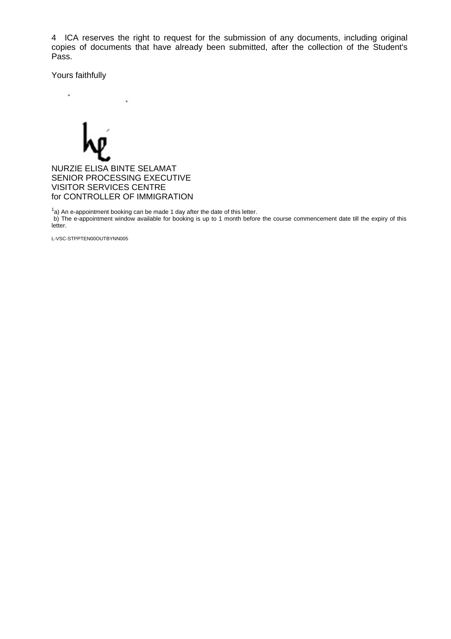4 ICA reserves the right to request for the submission of any documents, including original copies of documents that have already been submitted, after the collection of the Student's Pass.

Yours faithfully

i,

 $\mathbf{r}$ NURZIE ELISA BINTE SELAMAT SENIOR PROCESSING EXECUTIVE VISITOR SERVICES CENTRE for CONTROLLER OF IMMIGRATION

 $1a$ ) An e-appointment booking can be made 1 day after the date of this letter. b) The e-appointment window available for booking is up to 1 month before the course commencement date till the expiry of this letter.

L-VSC-STPPTEN00OUTBYNN005